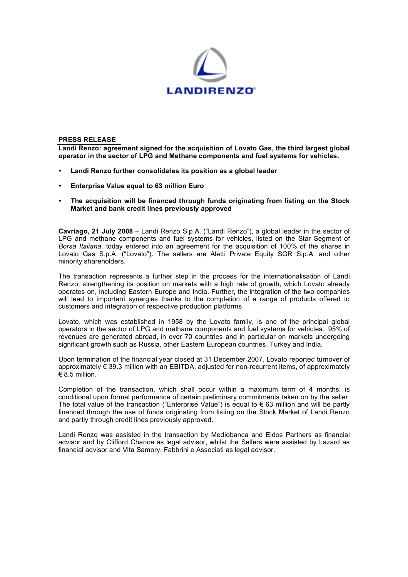

## **PRESS RELEASE**

**Landi Renzo: agreement signed for the acquisition of Lovato Gas, the third largest global operator in the sector of LPG and Methane components and fuel systems for vehicles.**

- **Landi Renzo further consolidates its position as a global leader**
- **Enterprise Value equal to 63 million Euro**
- **The acquisition will be financed through funds originating from listing on the Stock Market and bank credit lines previously approved**

**Cavriago, 21 July 2008** – Landi Renzo S.p.A. ("Landi Renzo"), a global leader in the sector of LPG and methane components and fuel systems for vehicles, listed on the Star Segment of *Borsa Italiana*, today entered into an agreement for the acquisition of 100% of the shares in Lovato Gas S.p.A. ("Lovato"). The sellers are Aletti Private Equity SGR S.p.A. and other minority shareholders.

The transaction represents a further step in the process for the internationalisation of Landi Renzo, strengthening its position on markets with a high rate of growth, which Lovato already operates on, including Eastern Europe and India. Further, the integration of the two companies will lead to important synergies thanks to the completion of a range of products offered to customers and integration of respective production platforms.

Lovato, which was established in 1958 by the Lovato family, is one of the principal global operators in the sector of LPG and methane components and fuel systems for vehicles. 95% of revenues are generated abroad, in over 70 countries and in particular on markets undergoing significant growth such as Russia, other Eastern European countries, Turkey and India.

Upon termination of the financial year closed at 31 December 2007, Lovato reported turnover of approximately € 39.3 million with an EBITDA, adjusted for non-recurrent items, of approximately  $\epsilon$  8.5 million.

Completion of the transaction, which shall occur within a maximum term of 4 months, is conditional upon formal performance of certain preliminary commitments taken on by the seller. The total value of the transaction ("Enterprise Value") is equal to  $\epsilon$  63 million and will be partly financed through the use of funds originating from listing on the Stock Market of Landi Renzo and partly through credit lines previously approved.

Landi Renzo was assisted in the transaction by Mediobanca and Eidos Partners as financial advisor and by Clifford Chance as legal advisor, whilst the Sellers were assisted by Lazard as financial advisor and Vita Samory, Fabbrini e Associati as legal advisor.